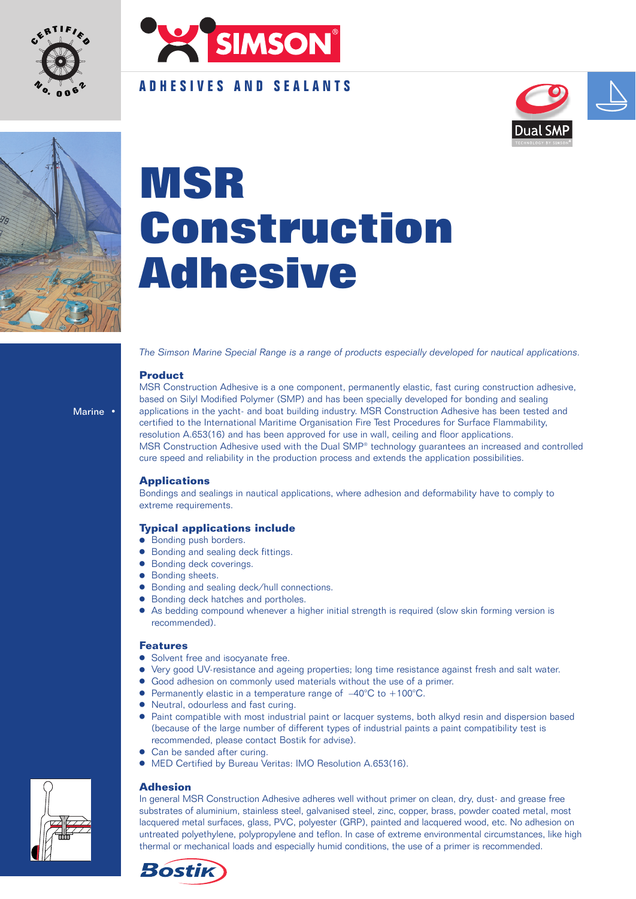



## **ADHESIVES AND SEALANTS**





# **MSR Construction Adhesive**

*The Simson Marine Special Range is a range of products especially developed for nautical applications.*

### **Product**

Marine •

MSR Construction Adhesive is a one component, permanently elastic, fast curing construction adhesive, based on Silyl Modified Polymer (SMP) and has been specially developed for bonding and sealing applications in the yacht- and boat building industry. MSR Construction Adhesive has been tested and certified to the International Maritime Organisation Fire Test Procedures for Surface Flammability, resolution A.653(16) and has been approved for use in wall, ceiling and floor applications. MSR Construction Adhesive used with the Dual SMP® technology guarantees an increased and controlled cure speed and reliability in the production process and extends the application possibilities.

### **Applications**

Bondings and sealings in nautical applications, where adhesion and deformability have to comply to extreme requirements.

### **Typical applications include**

- **Bonding push borders.**
- **•** Bonding and sealing deck fittings.
- Bonding deck coverings.
- **Bonding sheets.**
- Bonding and sealing deck/hull connections.
- Bonding deck hatches and portholes.
- As bedding compound whenever a higher initial strength is required (slow skin forming version is recommended).

### **Features**

- **•** Solvent free and isocyanate free.
- Very good UV-resistance and ageing properties; long time resistance against fresh and salt water.
- Good adhesion on commonly used materials without the use of a primer.
- **•** Permanently elastic in a temperature range of  $-40^{\circ}$ C to  $+100^{\circ}$ C.
- Neutral, odourless and fast curing.
- Paint compatible with most industrial paint or lacquer systems, both alkyd resin and dispersion based (because of the large number of different types of industrial paints a paint compatibility test is recommended, please contact Bostik for advise).
- Can be sanded after curing.
- MED Certified by Bureau Veritas: IMO Resolution A.653(16).

### **Adhesion**

In general MSR Construction Adhesive adheres well without primer on clean, dry, dust- and grease free substrates of aluminium, stainless steel, galvanised steel, zinc, copper, brass, powder coated metal, most lacquered metal surfaces, glass, PVC, polyester (GRP), painted and lacquered wood, etc. No adhesion on untreated polyethylene, polypropylene and teflon. In case of extreme environmental circumstances, like high thermal or mechanical loads and especially humid conditions, the use of a primer is recommended.